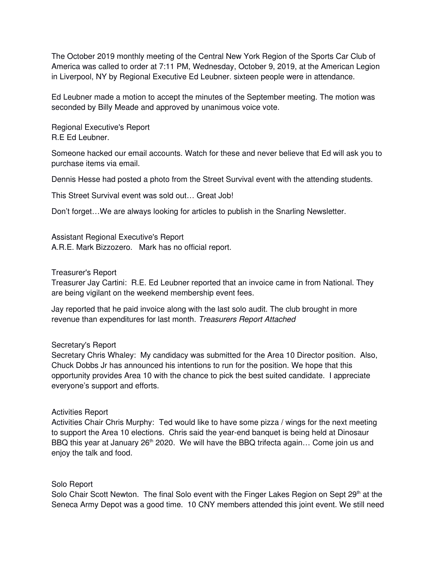The October 2019 monthly meeting of the Central New York Region of the Sports Car Club of America was called to order at 7:11 PM, Wednesday, October 9, 2019, at the American Legion in Liverpool, NY by Regional Executive Ed Leubner. sixteen people were in attendance.

Ed Leubner made a motion to accept the minutes of the September meeting. The motion was seconded by Billy Meade and approved by unanimous voice vote.

Regional Executive's Report R.E Ed Leubner.

Someone hacked our email accounts. Watch for these and never believe that Ed will ask you to purchase items via email.

Dennis Hesse had posted a photo from the Street Survival event with the attending students.

This Street Survival event was sold out… Great Job!

Don't forget…We are always looking for articles to publish in the Snarling Newsletter.

Assistant Regional Executive's Report A.R.E. Mark Bizzozero. Mark has no official report.

### Treasurer's Report

Treasurer Jay Cartini: R.E. Ed Leubner reported that an invoice came in from National. They are being vigilant on the weekend membership event fees.

Jay reported that he paid invoice along with the last solo audit. The club brought in more revenue than expenditures for last month. *Treasurers Report Attached*

## Secretary's Report

Secretary Chris Whaley: My candidacy was submitted for the Area 10 Director position. Also, Chuck Dobbs Jr has announced his intentions to run for the position. We hope that this opportunity provides Area 10 with the chance to pick the best suited candidate. I appreciate everyone's support and efforts.

## Activities Report

Activities Chair Chris Murphy: Ted would like to have some pizza / wings for the next meeting to support the Area 10 elections. Chris said the year-end banquet is being held at Dinosaur BBQ this year at January  $26<sup>th</sup> 2020$ . We will have the BBQ trifecta again... Come join us and enjoy the talk and food.

## Solo Report

Solo Chair Scott Newton. The final Solo event with the Finger Lakes Region on Sept  $29<sup>th</sup>$  at the Seneca Army Depot was a good time. 10 CNY members attended this joint event. We still need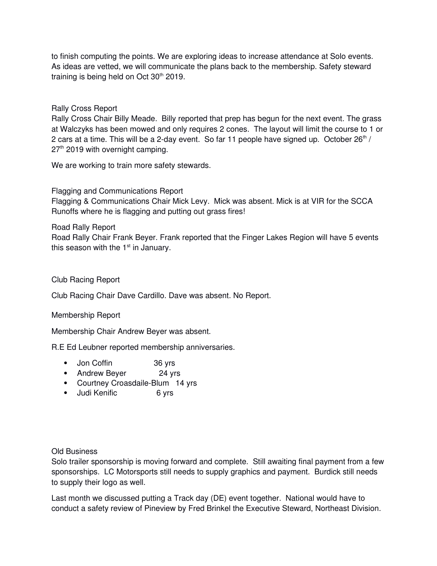to finish computing the points. We are exploring ideas to increase attendance at Solo events. As ideas are vetted, we will communicate the plans back to the membership. Safety steward training is being held on Oct  $30<sup>th</sup>$  2019.

# Rally Cross Report

Rally Cross Chair Billy Meade. Billy reported that prep has begun for the next event. The grass at Walczyks has been mowed and only requires 2 cones. The layout will limit the course to 1 or 2 cars at a time. This will be a 2-day event. So far 11 people have signed up. October  $26<sup>th</sup>$  / 27<sup>th</sup> 2019 with overnight camping.

We are working to train more safety stewards.

Flagging and Communications Report Flagging & Communications Chair Mick Levy. Mick was absent. Mick is at VIR for the SCCA Runoffs where he is flagging and putting out grass fires!

Road Rally Report Road Rally Chair Frank Beyer. Frank reported that the Finger Lakes Region will have 5 events this season with the  $1<sup>st</sup>$  in January.

## Club Racing Report

Club Racing Chair Dave Cardillo. Dave was absent. No Report.

## Membership Report

Membership Chair Andrew Beyer was absent.

R.E Ed Leubner reported membership anniversaries.

- Jon Coffin 36 yrs
- Andrew Beyer 24 yrs
- Courtney Croasdaile-Blum 14 yrs
- Judi Kenific 6 yrs

## Old Business

Solo trailer sponsorship is moving forward and complete. Still awaiting final payment from a few sponsorships. LC Motorsports still needs to supply graphics and payment. Burdick still needs to supply their logo as well.

Last month we discussed putting a Track day (DE) event together. National would have to conduct a safety review of Pineview by Fred Brinkel the Executive Steward, Northeast Division.